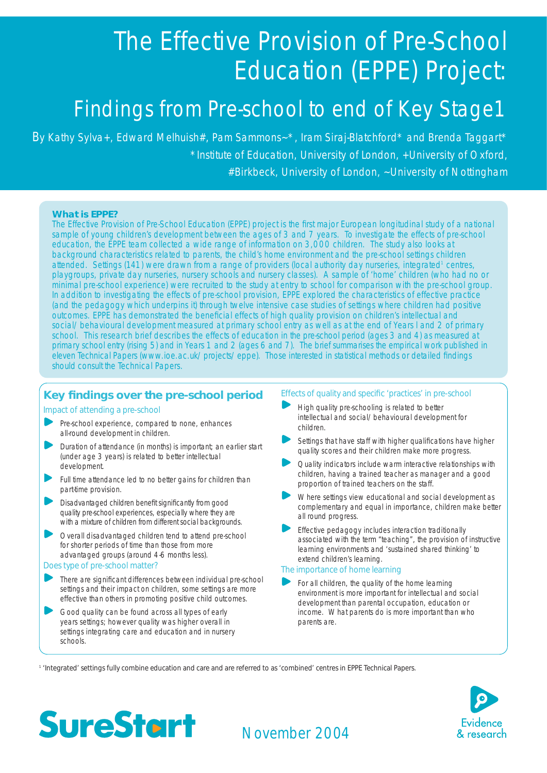# The Effective Provision of Pre-School Education (EPPE) Project:

# Findings from Pre-school to end of Key Stage1

By Kathy Sylva+, Edward Melhuish#, Pam Sammons~\*, Iram Siraj-Blatchford\* and Brenda Taggart\* \*Institute of Education, University of London, +University of Oxford, #Birkbeck, University of London, ~University of Nottingham

#### **What is EPPE?**

The Effective Provision of Pre-School Education (EPPE) project is the first major European longitudinal study of a national sample of young children's development between the ages of 3 and 7 years. To investigate the effects of pre-school education, the EPPE team collected a wide range of information on 3,000 children. The study also looks at background characteristics related to parents, the child's home environment and the pre-school settings children attended. Settings (141) were drawn from a range of providers (local authority day nurseries, integrated<sup>1</sup> centres, playgroups, private day nurseries, nursery schools and nursery classes). A sample of 'home' children (who had no or minimal pre-school experience) were recruited to the study at entry to school for comparison with the pre-school group. In addition to investigating the effects of pre-school provision, EPPE explored the characteristics of effective practice (and the pedagogy which underpins it) through twelve intensive case studies of settings where children had positive outcomes. EPPE has demonstrated the beneficial effects of high quality provision on children's intellectual and social/behavioural development measured at primary school entry as well as at the end of Years l and 2 of primary school. This research brief describes the effects of education in the pre-school period (ages 3 and 4) as measured at primary school entry (rising 5) and in Years 1 and 2 (ages 6 and 7). The brief summarises the empirical work published in eleven Technical Papers (www.ioe.ac.uk/projects/eppe). Those interested in statistical methods or detailed findings should consult the Technical Papers.

#### **Key findings over the pre-school period**

#### Impact of attending a pre-school

- Pre-school experience, compared to none, enhances all-round development in children.
- Duration of attendance (in months) is important; an earlier start (under age 3 years) is related to better intellectual development.
- Full time attendance led to no better gains for children than part-time provision.
- Disadvantaged children benefit significantly from good quality pre-school experiences, especially where they are with a mixture of children from different social backgrounds.
- Overall disadvantaged children tend to attend pre-school for shorter periods of time than those from more advantaged groups (around 4-6 months less). Does type of pre-school matter?
- There are significant differences between individual pre-school settings and their impact on children, some settings are more effective than others in promoting positive child outcomes.
- Good quality can be found across all types of early years settings; however quality was higher overall in settings integrating care and education and in nursery schools.

**SureStart** 

#### Effects of quality and specific 'practices' in pre-school

- High quality pre-schooling is related to better intellectual and social/behavioural development for children.
- Settings that have staff with higher qualifications have higher quality scores and their children make more progress.
- Quality indicators include warm interactive relationships with children, having a trained teacher as manager and a good proportion of trained teachers on the staff.
- Where settings view educational and social development as complementary and equal in importance, children make better all round progress.
- Effective pedagogy includes interaction traditionally associated with the term "teaching", the provision of instructive learning environments and 'sustained shared thinking' to extend children's learning.

#### The importance of home learning

For all children, the quality of the home learning environment is more important for intellectual and social development than parental occupation, education or income. What parents do is more important than who parents are.

<sup>1</sup> 'Integrated' settings fully combine education and care and are referred to as 'combined' centres in EPPE Technical Papers.



# November 2004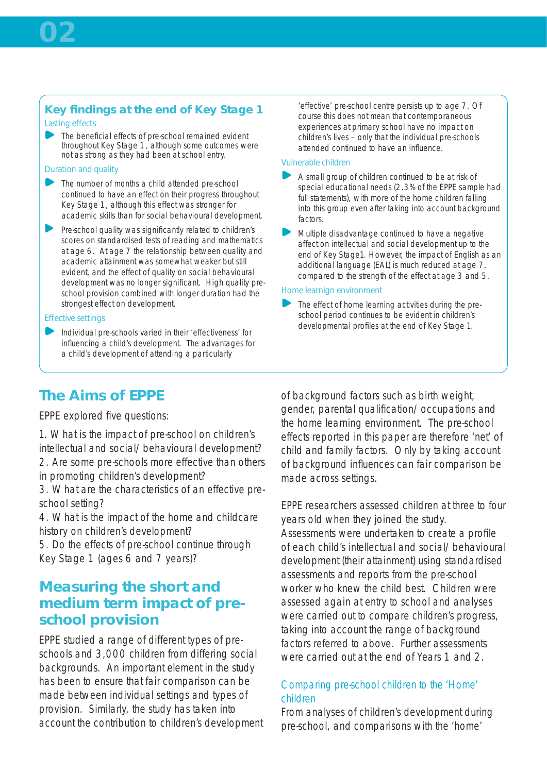#### **Key findings at the end of Key Stage 1** Lasting effects

The beneficial effects of pre-school remained evident throughout Key Stage 1, although some outcomes were not as strong as they had been at school entry.

#### Duration and quality

- The number of months a child attended pre-school continued to have an effect on their progress throughout Key Stage 1, although this effect was stronger for academic skills than for social behavioural development.
- Pre-school quality was significantly related to children's scores on standardised tests of reading and mathematics at age 6. At age 7 the relationship between quality and academic attainment was somewhat weaker but still evident, and the effect of quality on social behavioural development was no longer significant. High quality preschool provision combined with longer duration had the strongest effect on development.

#### Effective settings

Individual pre-schools varied in their 'effectiveness' for influencing a child's development. The advantages for a child's development of attending a particularly

'effective' pre-school centre persists up to age 7. Of course this does not mean that contemporaneous experiences at primary school have no impact on children's lives – only that the individual pre-schools attended continued to have an influence.

#### Vulnerable children

- A small group of children continued to be at risk of special educational needs (2.3% of the EPPE sample had full statements), with more of the home children falling into this group even after taking into account background factors.
- Multiple disadvantage continued to have a negative affect on intellectual and social development up to the end of Key Stage1. However, the impact of English as an additional language (EAL) is much reduced at age 7, compared to the strength of the effect at age 3 and 5.

#### Home learnign environment

The effect of home learning activities during the preschool period continues to be evident in children's developmental profiles at the end of Key Stage 1.

# **The Aims of EPPE**

EPPE explored five questions:

1. What is the impact of pre-school on children's intellectual and social/behavioural development? 2. Are some pre-schools more effective than others

in promoting children's development? 3. What are the characteristics of an effective preschool setting?

4. What is the impact of the home and childcare history on children's development?

5. Do the effects of pre-school continue through Key Stage 1 (ages 6 and 7 years)?

## **Measuring the short and medium term impact of preschool provision**

EPPE studied a range of different types of preschools and 3,000 children from differing social backgrounds. An important element in the study has been to ensure that fair comparison can be made between individual settings and types of provision. Similarly, the study has taken into account the contribution to children's development of background factors such as birth weight, gender, parental qualification/occupations and the home learning environment. The pre-school effects reported in this paper are therefore 'net' of child and family factors. Only by taking account of background influences can fair comparison be made across settings.

EPPE researchers assessed children at three to four years old when they joined the study. Assessments were undertaken to create a profile of each child's intellectual and social/behavioural development (their attainment) using standardised assessments and reports from the pre-school worker who knew the child best. Children were assessed again at entry to school and analyses were carried out to compare children's progress, taking into account the range of background factors referred to above. Further assessments were carried out at the end of Years 1 and 2.

#### Comparing pre-school children to the 'Home' children

From analyses of children's development during pre-school, and comparisons with the 'home'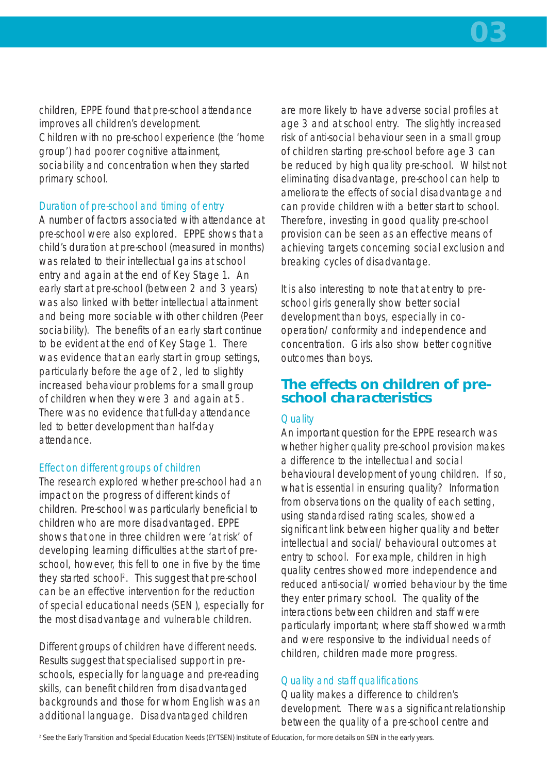

children, EPPE found that pre-school attendance improves all children's development. Children with no pre-school experience (the 'home group') had poorer cognitive attainment, sociability and concentration when they started primary school.

### Duration of pre-school and timing of entry

A number of factors associated with attendance at pre-school were also explored. EPPE shows that a child's duration at pre-school (measured in months) was related to their intellectual gains at school entry and again at the end of Key Stage 1. An early start at pre-school (between 2 and 3 years) was also linked with better intellectual attainment and being more sociable with other children (Peer sociability). The benefits of an early start continue to be evident at the end of Key Stage 1. There was evidence that an early start in group settings, particularly before the age of 2, led to slightly increased behaviour problems for a small group of children when they were 3 and again at 5. There was no evidence that full-day attendance led to better development than half-day attendance.

### Effect on different groups of children

The research explored whether pre-school had an impact on the progress of different kinds of children. Pre-school was particularly beneficial to children who are more disadvantaged. EPPE shows that one in three children were 'at risk' of developing learning difficulties at the start of preschool, however, this fell to one in five by the time they started school<sup>2</sup>. This suggest that pre-school can be an effective intervention for the reduction of special educational needs (SEN), especially for the most disadvantage and vulnerable children.

Different groups of children have different needs. Results suggest that specialised support in preschools, especially for language and pre-reading skills, can benefit children from disadvantaged backgrounds and those for whom English was an additional language. Disadvantaged children

are more likely to have adverse social profiles at age 3 and at school entry. The slightly increased risk of anti-social behaviour seen in a small group of children starting pre-school before age 3 can be reduced by high quality pre-school. Whilst not eliminating disadvantage, pre-school can help to ameliorate the effects of social disadvantage and can provide children with a better start to school. Therefore, investing in good quality pre-school provision can be seen as an effective means of achieving targets concerning social exclusion and breaking cycles of disadvantage.

It is also interesting to note that at entry to preschool girls generally show better social development than boys, especially in cooperation/conformity and independence and concentration. Girls also show better cognitive outcomes than boys.

## **The effects on children of preschool characteristics**

#### **Quality**

An important question for the EPPE research was whether higher quality pre-school provision makes a difference to the intellectual and social behavioural development of young children. If so, what is essential in ensuring quality? Information from observations on the quality of each setting, using standardised rating scales, showed a significant link between higher quality and better intellectual and social/behavioural outcomes at entry to school. For example, children in high quality centres showed more independence and reduced anti-social/worried behaviour by the time they enter primary school. The quality of the interactions between children and staff were particularly important; where staff showed warmth and were responsive to the individual needs of children, children made more progress.

### Quality and staff qualifications

Quality makes a difference to children's development. There was a significant relationship between the quality of a pre-school centre and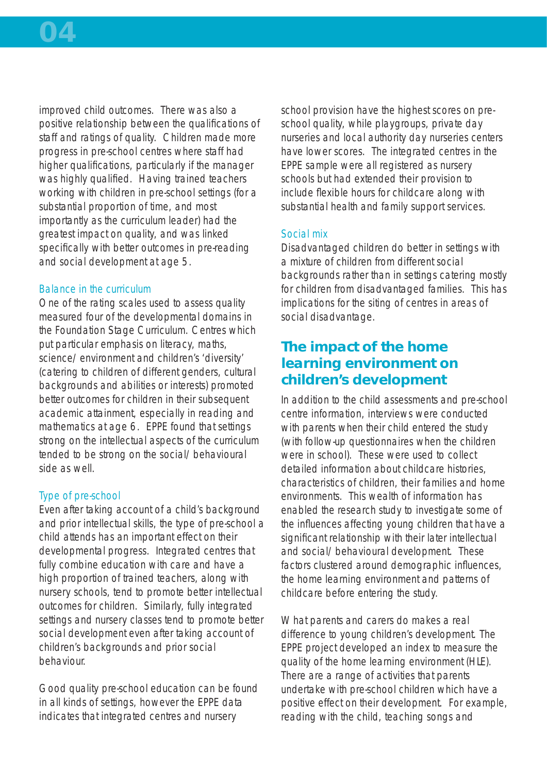# **04**

improved child outcomes. There was also a positive relationship between the qualifications of staff and ratings of quality. Children made more progress in pre-school centres where staff had higher qualifications, particularly if the manager was highly qualified. Having trained teachers working with children in pre-school settings (for a substantial proportion of time, and most importantly as the curriculum leader) had the greatest impact on quality, and was linked specifically with better outcomes in pre-reading and social development at age 5.

### Balance in the curriculum

One of the rating scales used to assess quality measured four of the developmental domains in the Foundation Stage Curriculum. Centres which put particular emphasis on literacy, maths, science/environment and children's 'diversity' (catering to children of different genders, cultural backgrounds and abilities or interests) promoted better outcomes for children in their subsequent academic attainment, especially in reading and mathematics at age 6. EPPE found that settings strong on the intellectual aspects of the curriculum tended to be strong on the social/behavioural side as well.

### Type of pre-school

Even after taking account of a child's background and prior intellectual skills, the type of pre-school a child attends has an important effect on their developmental progress. Integrated centres that fully combine education with care and have a high proportion of trained teachers, along with nursery schools, tend to promote better intellectual outcomes for children. Similarly, fully integrated settings and nursery classes tend to promote better social development even after taking account of children's backgrounds and prior social behaviour.

Good quality pre-school education can be found in all kinds of settings, however the EPPE data indicates that integrated centres and nursery

school provision have the highest scores on preschool quality, while playgroups, private day nurseries and local authority day nurseries centers have lower scores. The integrated centres in the EPPE sample were all registered as nursery schools but had extended their provision to include flexible hours for childcare along with substantial health and family support services.

### Social mix

Disadvantaged children do better in settings with a mixture of children from different social backgrounds rather than in settings catering mostly for children from disadvantaged families. This has implications for the siting of centres in areas of social disadvantage.

## **The impact of the home learning environment on children's development**

In addition to the child assessments and pre-school centre information, interviews were conducted with parents when their child entered the study (with follow-up questionnaires when the children were in school). These were used to collect detailed information about childcare histories, characteristics of children, their families and home environments. This wealth of information has enabled the research study to investigate some of the influences affecting young children that have a significant relationship with their later intellectual and social/behavioural development. These factors clustered around demographic influences, the home learning environment and patterns of childcare before entering the study.

What parents and carers do makes a real difference to young children's development. The EPPE project developed an index to measure the quality of the home learning environment (HLE). There are a range of activities that parents undertake with pre-school children which have a positive effect on their development. For example, reading with the child, teaching songs and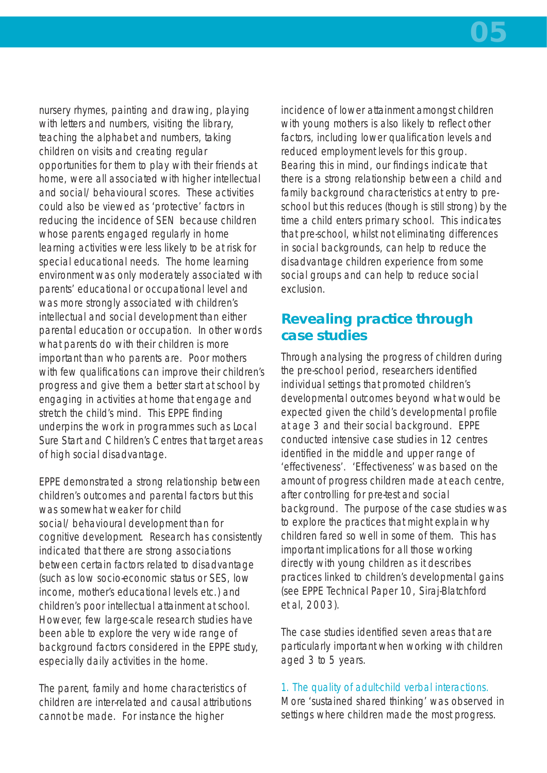nursery rhymes, painting and drawing, playing with letters and numbers, visiting the library, teaching the alphabet and numbers, taking children on visits and creating regular opportunities for them to play with their friends at home, were all associated with higher intellectual and social/behavioural scores. These activities could also be viewed as 'protective' factors in reducing the incidence of SEN because children whose parents engaged regularly in home learning activities were less likely to be at risk for special educational needs. The home learning environment was only moderately associated with parents' educational or occupational level and was more strongly associated with children's intellectual and social development than either parental education or occupation. In other words what parents do with their children is more important than who parents are. Poor mothers with few qualifications can improve their children's progress and give them a better start at school by engaging in activities at home that engage and stretch the child's mind. This EPPE finding underpins the work in programmes such as Local Sure Start and Children's Centres that target areas of high social disadvantage.

EPPE demonstrated a strong relationship between children's outcomes and parental factors but this was somewhat weaker for child social/behavioural development than for cognitive development. Research has consistently indicated that there are strong associations between certain factors related to disadvantage (such as low socio-economic status or SES, low income, mother's educational levels etc.) and children's poor intellectual attainment at school. However, few large-scale research studies have been able to explore the very wide range of background factors considered in the EPPE study, especially daily activities in the home.

The parent, family and home characteristics of children are inter-related and causal attributions cannot be made. For instance the higher

incidence of lower attainment amongst children with young mothers is also likely to reflect other factors, including lower qualification levels and reduced employment levels for this group. Bearing this in mind, our findings indicate that there is a strong relationship between a child and family background characteristics at entry to preschool but this reduces (though is still strong) by the time a child enters primary school. This indicates that pre-school, whilst not eliminating differences in social backgrounds, can help to reduce the disadvantage children experience from some social groups and can help to reduce social exclusion.

## **Revealing practice through case studies**

Through analysing the progress of children during the pre-school period, researchers identified individual settings that promoted children's developmental outcomes beyond what would be expected given the child's developmental profile at age 3 and their social background. EPPE conducted intensive case studies in 12 centres identified in the middle and upper range of 'effectiveness'. 'Effectiveness' was based on the amount of progress children made at each centre, after controlling for pre-test and social background. The purpose of the case studies was to explore the practices that might explain why children fared so well in some of them. This has important implications for all those working directly with young children as it describes practices linked to children's developmental gains (see EPPE Technical Paper 10, Siraj-Blatchford et al, 2003).

The case studies identified seven areas that are particularly important when working with children aged 3 to 5 years.

1. *The quality of adult-child verbal interactions.*

More 'sustained shared thinking' was observed in settings where children made the most progress.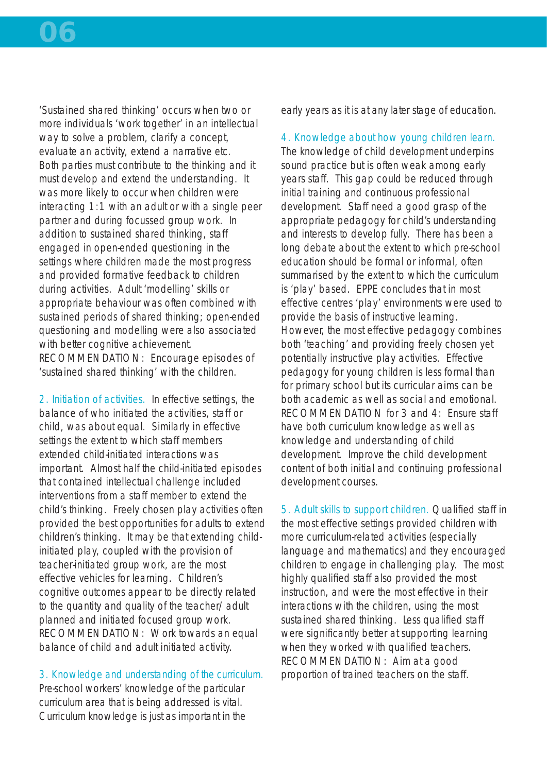# **06**

'Sustained shared thinking' occurs when two or more individuals 'work together' in an intellectual way to solve a problem, clarify a concept, evaluate an activity, extend a narrative etc. Both parties must contribute to the thinking and it must develop and extend the understanding. It was more likely to occur when children were interacting 1:1 with an adult or with a single peer partner and during focussed group work. In addition to sustained shared thinking, staff engaged in open-ended questioning in the settings where children made the most progress and provided formative feedback to children during activities. Adult 'modelling' skills or appropriate behaviour was often combined with sustained periods of shared thinking; open-ended questioning and modelling were also associated with better cognitive achievement. RECOMMENDATION: Encourage episodes of 'sustained shared thinking' with the children.

2. *Initiation of activities.* In effective settings, the balance of who initiated the activities, staff or child, was about equal. Similarly in effective settings the extent to which staff members extended child-initiated interactions was important. Almost half the child-initiated episodes that contained intellectual challenge included interventions from a staff member to extend the child's thinking. Freely chosen play activities often provided the best opportunities for adults to extend children's thinking. It may be that extending childinitiated play, coupled with the provision of teacher-initiated group work, are the most effective vehicles for learning. Children's cognitive outcomes appear to be directly related to the quantity and quality of the teacher/adult planned and initiated focused group work. RECOMMENDATION: Work towards an equal balance of child and adult initiated activity.

3. *Knowledge and understanding of the curriculum.* Pre-school workers' knowledge of the particular curriculum area that is being addressed is vital. Curriculum knowledge is just as important in the

early years as it is at any later stage of education.

4. *Knowledge about how young children learn.* The knowledge of child development underpins sound practice but is often weak among early years staff. This gap could be reduced through initial training and continuous professional development. Staff need a good grasp of the appropriate pedagogy for child's understanding and interests to develop fully. There has been a long debate about the extent to which pre-school education should be formal or informal, often summarised by the extent to which the curriculum is 'play' based. EPPE concludes that in most effective centres 'play' environments were used to provide the basis of instructive learning. However, the most effective pedagogy combines both 'teaching' and providing freely chosen yet potentially instructive play activities. Effective pedagogy for young children is less formal than for primary school but its curricular aims can be both academic as well as social and emotional. RECOMMENDATION for 3 and 4: Ensure staff have both curriculum knowledge as well as knowledge and understanding of child development. Improve the child development content of both initial and continuing professional development courses.

5. *Adult skills to support children.* Qualified staff in the most effective settings provided children with more curriculum-related activities (especially language and mathematics) and they encouraged children to engage in challenging play. The most highly qualified staff also provided the most instruction, and were the most effective in their interactions with the children, using the most sustained shared thinking. Less qualified staff were significantly better at supporting learning when they worked with qualified teachers. RECOMMENDATION: Aim at a good proportion of trained teachers on the staff.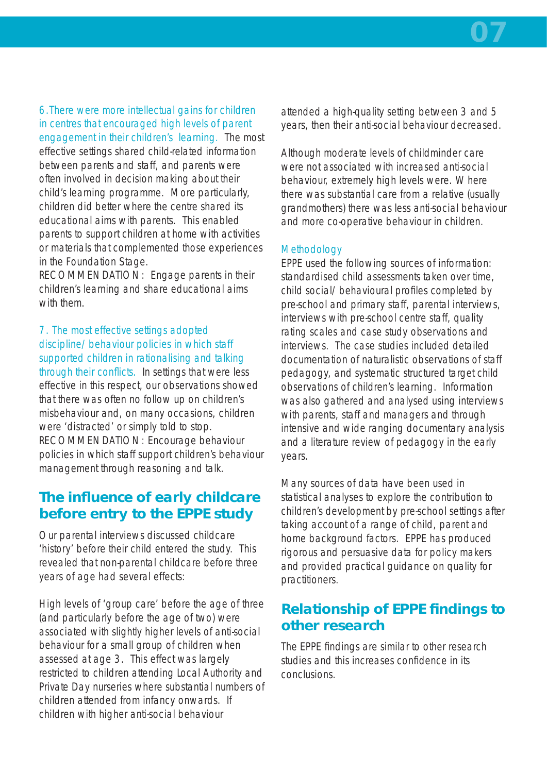#### 6.*There were more intellectual gains for children in centres that encouraged high levels of parent engagement in their children's learning.* The most

effective settings shared child-related information between parents and staff, and parents were often involved in decision making about their child's learning programme. More particularly, children did better where the centre shared its educational aims with parents. This enabled parents to support children at home with activities or materials that complemented those experiences in the Foundation Stage.

RECOMMENDATION: Engage parents in their children's learning and share educational aims with them.

### 7. *The most effective settings adopted discipline/behaviour policies in which staff supported children in rationalising and talking*

*through their conflicts.* In settings that were less effective in this respect, our observations showed that there was often no follow up on children's misbehaviour and, on many occasions, children were 'distracted' or simply told to stop. RECOMMENDATION: Encourage behaviour policies in which staff support children's behaviour management through reasoning and talk.

## **The influence of early childcare before entry to the EPPE study**

Our parental interviews discussed childcare 'history' before their child entered the study. This revealed that non-parental childcare before three years of age had several effects:

High levels of 'group care' before the age of three (and particularly before the age of two) were associated with slightly higher levels of anti-social behaviour for a small group of children when assessed at age 3. This effect was largely restricted to children attending Local Authority and Private Day nurseries where substantial numbers of children attended from infancy onwards. If children with higher anti-social behaviour

attended a high-quality setting between 3 and 5 years, then their anti-social behaviour decreased.

Although moderate levels of childminder care were not associated with increased anti-social behaviour, extremely high levels were. Where there was substantial care from a relative (usually grandmothers) there was less anti-social behaviour and more co-operative behaviour in children.

### **Methodology**

EPPE used the following sources of information: standardised child assessments taken over time, child social/behavioural profiles completed by pre-school and primary staff, parental interviews, interviews with pre-school centre staff, quality rating scales and case study observations and interviews. The case studies included detailed documentation of naturalistic observations of staff pedagogy, and systematic structured target child observations of children's learning. Information was also gathered and analysed using interviews with parents, staff and managers and through intensive and wide ranging documentary analysis and a literature review of pedagogy in the early years.

Many sources of data have been used in statistical analyses to explore the contribution to children's development by pre-school settings after taking account of a range of child, parent and home background factors. EPPE has produced rigorous and persuasive data for policy makers and provided practical guidance on quality for practitioners.

## **Relationship of EPPE findings to other research**

The EPPE findings are similar to other research studies and this increases confidence in its conclusions.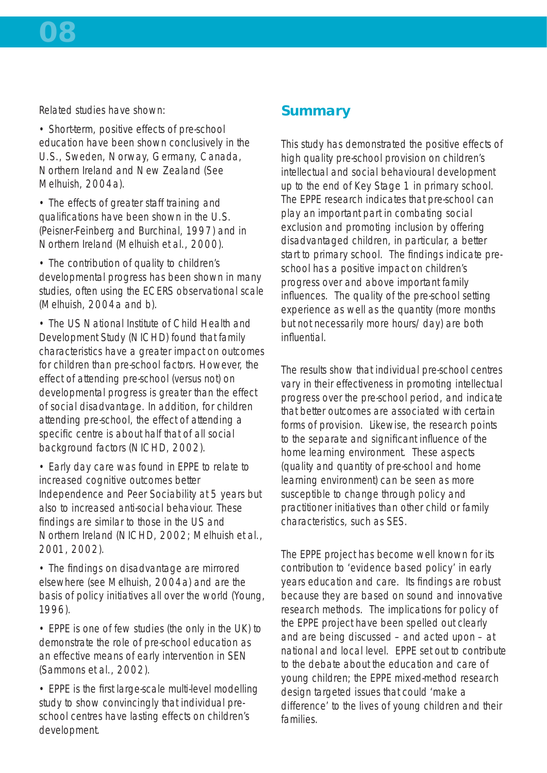# **08**

Related studies have shown:

• Short-term, positive effects of pre-school education have been shown conclusively in the U.S., Sweden, Norway, Germany, Canada, Northern Ireland and New Zealand (See Melhuish, 2004a).

• The effects of greater staff training and qualifications have been shown in the U.S. (Peisner-Feinberg and Burchinal, 1997) and in Northern Ireland (Melhuish et al., 2000).

• The contribution of quality to children's developmental progress has been shown in many studies, often using the ECERS observational scale (Melhuish, 2004a and b).

• The US National Institute of Child Health and Development Study (NICHD) found that family characteristics have a greater impact on outcomes for children than pre-school factors. However, the effect of attending pre-school (versus not) on developmental progress is greater than the effect of social disadvantage. In addition, for children attending pre-school, the effect of attending a specific centre is about half that of all social background factors (NICHD, 2002).

• Early day care was found in EPPE to relate to increased cognitive outcomes better Independence and Peer Sociability at 5 years but also to increased anti-social behaviour. These findings are similar to those in the US and Northern Ireland (NICHD, 2002; Melhuish et al., 2001, 2002).

• The findings on disadvantage are mirrored elsewhere (see Melhuish, 2004a) and are the basis of policy initiatives all over the world (Young, 1996).

• EPPE is one of few studies (the only in the UK) to demonstrate the role of pre-school education as an effective means of early intervention in SEN (Sammons et al., 2002).

• EPPE is the first large-scale multi-level modelling study to show convincingly that individual preschool centres have lasting effects on children's development.

## **Summary**

This study has demonstrated the positive effects of high quality pre-school provision on children's intellectual and social behavioural development up to the end of Key Stage 1 in primary school. The EPPE research indicates that pre-school can play an important part in combating social exclusion and promoting inclusion by offering disadvantaged children, in particular, a better start to primary school. The findings indicate preschool has a positive impact on children's progress over and above important family influences. The quality of the pre-school setting experience as well as the quantity (more months but not necessarily more hours/day) are both influential.

The results show that individual pre-school centres vary in their effectiveness in promoting intellectual progress over the pre-school period, and indicate that better outcomes are associated with certain forms of provision. Likewise, the research points to the separate and significant influence of the home learning environment. These aspects (quality and quantity of pre-school and home learning environment) can be seen as more susceptible to change through policy and practitioner initiatives than other child or family characteristics, such as SES.

The EPPE project has become well known for its contribution to 'evidence based policy' in early years education and care. Its findings are robust because they are based on sound and innovative research methods. The implications for policy of the EPPE project have been spelled out clearly and are being discussed – and acted upon – at national and local level. EPPE set out to contribute to the debate about the education and care of young children; the EPPE mixed-method research design targeted issues that could 'make a difference' to the lives of young children and their families.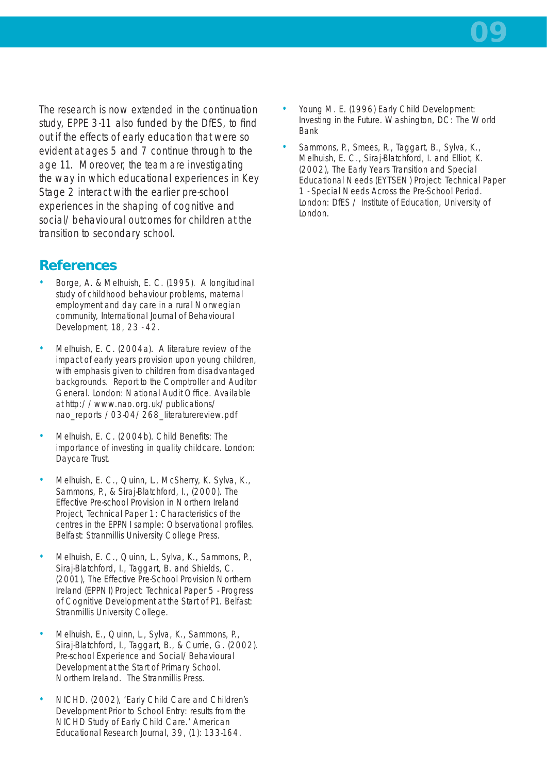

The research is now extended in the continuation study, EPPE 3-11 also funded by the DfES, to find out if the effects of early education that were so evident at ages 5 and 7 continue through to the age 11. Moreover, the team are investigating the way in which educational experiences in Key Stage 2 interact with the earlier pre-school experiences in the shaping of cognitive and social/behavioural outcomes for children at the transition to secondary school.

## **References**

- Borge, A. & Melhuish, E. C. (1995). A longitudinal study of childhood behaviour problems, maternal employment and day care in a rural Norwegian community, International Journal of Behavioural Development, 18, 23 - 42.
- Melhuish, E. C. (2004a). A literature review of the impact of early years provision upon young children, with emphasis given to children from disadvantaged backgrounds. Report to the Comptroller and Auditor General. London: National Audit Office. Available at http://www.nao.org.uk/publications/ nao\_reports /03-04/268\_literaturereview.pdf
- Melhuish, E. C. (2004b). Child Benefits: The importance of investing in quality childcare. London: Daycare Trust.
- Melhuish, E. C., Quinn, L., McSherry, K. Sylva, K., Sammons, P., & Siraj-Blatchford, I., (2000). The Effective Pre-school Provision in Northern Ireland Project, Technical Paper 1: Characteristics of the centres in the EPPNI sample: Observational profiles. Belfast: Stranmillis University College Press.
- Melhuish, E. C., Quinn, L., Sylva, K., Sammons, P., Siraj-Blatchford, I., Taggart, B. and Shields, C. (2001), The Effective Pre-School Provision Northern Ireland (EPPNI) Project: Technical Paper 5 - Progress of Cognitive Development at the Start of P1. Belfast: Stranmillis University College.
- Melhuish, E., Quinn, L., Sylva, K., Sammons, P., Siraj-Blatchford, I., Taggart, B., & Currie, G. (2002). Pre-school Experience and Social/Behavioural Development at the Start of Primary School. Northern Ireland. The Stranmillis Press.
- NICHD. (2002), 'Early Child Care and Children's Development Prior to School Entry: results from the NICHD Study of Early Child Care.' American Educational Research Journal, 39, (1): 133-164.
- Young M. E. (1996) Early Child Development: Investing in the Future. Washington, DC: The World Bank
- Sammons, P., Smees, R., Taggart, B., Sylva, K., Melhuish, E. C., Siraj-Blatchford, I. and Elliot, K. (2002), The Early Years Transition and Special Educational Needs (EYTSEN) Project: Technical Paper 1 - Special Needs Across the Pre-School Period. London: DfES / Institute of Education, University of London.